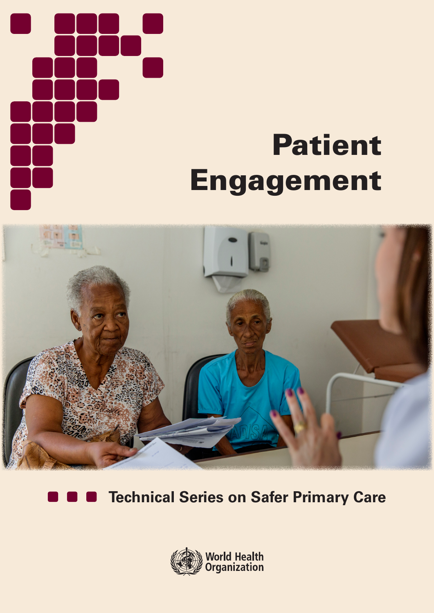

# Patient Engagement



**Technical Series on Safer Primary Care**

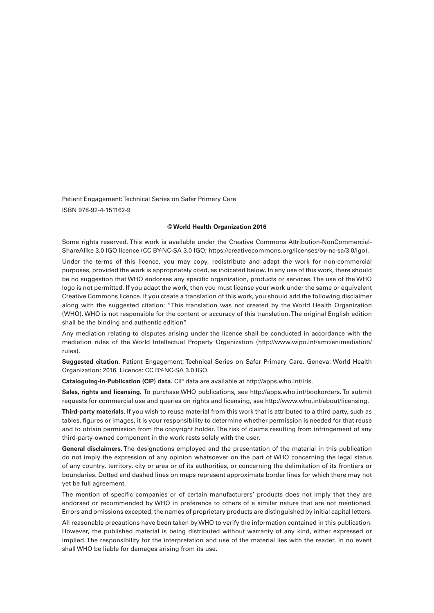Patient Engagement: Technical Series on Safer Primary Care ISBN 978-92-4-151162-9

#### **© World Health Organization 2016**

Some rights reserved. This work is available under the Creative Commons Attribution-NonCommercial-ShareAlike 3.0 IGO licence (CC BY-NC-SA 3.0 IGO; https://creativecommons.org/licenses/by-nc-sa/3.0/igo).

Under the terms of this licence, you may copy, redistribute and adapt the work for non-commercial purposes, provided the work is appropriately cited, as indicated below. In any use of this work, there should be no suggestion that WHO endorses any specific organization, products or services. The use of the WHO logo is not permitted. If you adapt the work, then you must license your work under the same or equivalent Creative Commons licence. If you create a translation of this work, you should add the following disclaimer along with the suggested citation: "This translation was not created by the World Health Organization (WHO). WHO is not responsible for the content or accuracy of this translation. The original English edition shall be the binding and authentic edition".

Any mediation relating to disputes arising under the licence shall be conducted in accordance with the mediation rules of the World Intellectual Property Organization (http://www.wipo.int/amc/en/mediation/ rules).

**Suggested citation.** Patient Engagement: Technical Series on Safer Primary Care. Geneva: World Health Organization; 2016. Licence: CC BY-NC-SA 3.0 IGO.

**Cataloguing-in-Publication (CIP) data.** CIP data are available at http://apps.who.int/iris.

**Sales, rights and licensing.** To purchase WHO publications, see http://apps.who.int/bookorders. To submit requests for commercial use and queries on rights and licensing, see http://www.who.int/about/licensing.

**Third-party materials.** If you wish to reuse material from this work that is attributed to a third party, such as tables, figures or images, it is your responsibility to determine whether permission is needed for that reuse and to obtain permission from the copyright holder. The risk of claims resulting from infringement of any third-party-owned component in the work rests solely with the user.

**General disclaimers.** The designations employed and the presentation of the material in this publication do not imply the expression of any opinion whatsoever on the part of WHO concerning the legal status of any country, territory, city or area or of its authorities, or concerning the delimitation of its frontiers or boundaries. Dotted and dashed lines on maps represent approximate border lines for which there may not yet be full agreement.

The mention of specific companies or of certain manufacturers' products does not imply that they are endorsed or recommended by WHO in preference to others of a similar nature that are not mentioned. Errors and omissions excepted, the names of proprietary products are distinguished by initial capital letters.

All reasonable precautions have been taken by WHO to verify the information contained in this publication. However, the published material is being distributed without warranty of any kind, either expressed or implied. The responsibility for the interpretation and use of the material lies with the reader. In no event shall WHO be liable for damages arising from its use.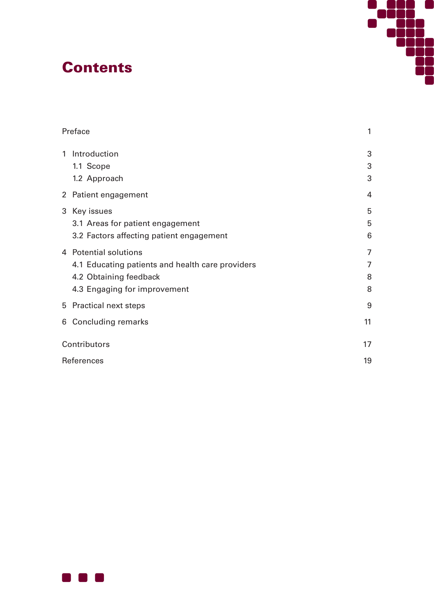# **Contents**



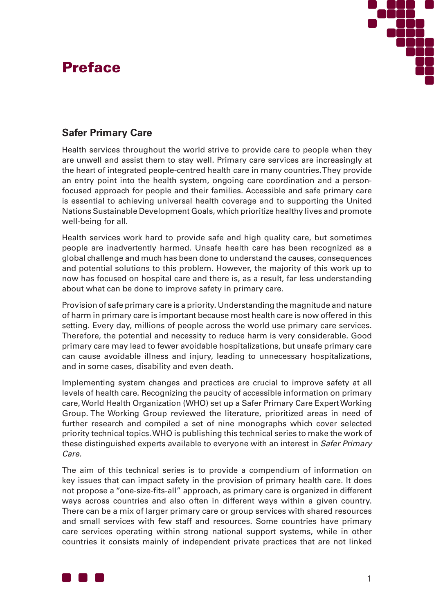# Preface



## **Safer Primary Care**

Health services throughout the world strive to provide care to people when they are unwell and assist them to stay well. Primary care services are increasingly at the heart of integrated people-centred health care in many countries. They provide an entry point into the health system, ongoing care coordination and a personfocused approach for people and their families. Accessible and safe primary care is essential to achieving universal health coverage and to supporting the United Nations Sustainable Development Goals, which prioritize healthy lives and promote well-being for all.

Health services work hard to provide safe and high quality care, but sometimes people are inadvertently harmed. Unsafe health care has been recognized as a global challenge and much has been done to understand the causes, consequences and potential solutions to this problem. However, the majority of this work up to now has focused on hospital care and there is, as a result, far less understanding about what can be done to improve safety in primary care.

Provision of safe primary care is a priority. Understanding the magnitude and nature of harm in primary care is important because most health care is now offered in this setting. Every day, millions of people across the world use primary care services. Therefore, the potential and necessity to reduce harm is very considerable. Good primary care may lead to fewer avoidable hospitalizations, but unsafe primary care can cause avoidable illness and injury, leading to unnecessary hospitalizations, and in some cases, disability and even death.

Implementing system changes and practices are crucial to improve safety at all levels of health care. Recognizing the paucity of accessible information on primary care, World Health Organization (WHO) set up a Safer Primary Care Expert Working Group. The Working Group reviewed the literature, prioritized areas in need of further research and compiled a set of nine monographs which cover selected priority technical topics. WHO is publishing this technical series to make the work of these distinguished experts available to everyone with an interest in *Safer Primary Care.*

The aim of this technical series is to provide a compendium of information on key issues that can impact safety in the provision of primary health care. It does not propose a "one-size-fits-all" approach, as primary care is organized in different ways across countries and also often in different ways within a given country. There can be a mix of larger primary care or group services with shared resources and small services with few staff and resources. Some countries have primary care services operating within strong national support systems, while in other countries it consists mainly of independent private practices that are not linked

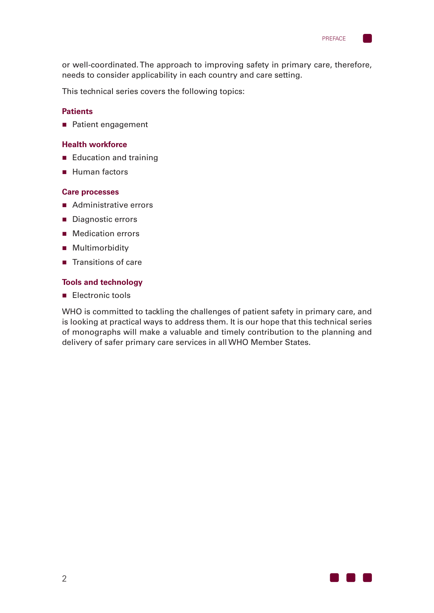

or well-coordinated. The approach to improving safety in primary care, therefore, needs to consider applicability in each country and care setting.

This technical series covers the following topics:

### **Patients**

**n** Patient engagement

### **Health workforce**

- $\blacksquare$  Education and training
- **Human factors**

### **Care processes**

- Administrative errors
- Diagnostic errors
- Medication errors
- **n** Multimorbidity
- **n** Transitions of care

### **Tools and technology**

**n** Electronic tools

WHO is committed to tackling the challenges of patient safety in primary care, and is looking at practical ways to address them. It is our hope that this technical series of monographs will make a valuable and timely contribution to the planning and delivery of safer primary care services in all WHO Member States.

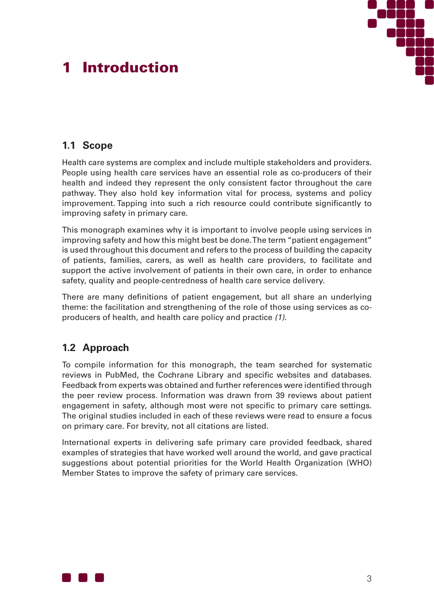# 1 Introduction



## **1.1 Scope**

Health care systems are complex and include multiple stakeholders and providers. People using health care services have an essential role as co-producers of their health and indeed they represent the only consistent factor throughout the care pathway. They also hold key information vital for process, systems and policy improvement. Tapping into such a rich resource could contribute significantly to improving safety in primary care.

This monograph examines why it is important to involve people using services in improving safety and how this might best be done. The term "patient engagement" is used throughout this document and refers to the process of building the capacity of patients, families, carers, as well as health care providers, to facilitate and support the active involvement of patients in their own care, in order to enhance safety, quality and people-centredness of health care service delivery.

There are many definitions of patient engagement, but all share an underlying theme: the facilitation and strengthening of the role of those using services as coproducers of health, and health care policy and practice *(1)*.

# **1.2 Approach**

To compile information for this monograph, the team searched for systematic reviews in PubMed, the Cochrane Library and specific websites and databases. Feedback from experts was obtained and further references were identified through the peer review process. Information was drawn from 39 reviews about patient engagement in safety, although most were not specific to primary care settings. The original studies included in each of these reviews were read to ensure a focus on primary care. For brevity, not all citations are listed.

International experts in delivering safe primary care provided feedback, shared examples of strategies that have worked well around the world, and gave practical suggestions about potential priorities for the World Health Organization (WHO) Member States to improve the safety of primary care services.

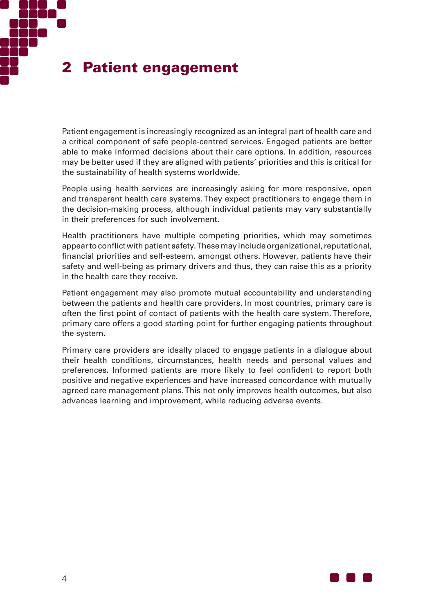# 2 Patient engagement

Patient engagement is increasingly recognized as an integral part of health care and a critical component of safe people-centred services. Engaged patients are better able to make informed decisions about their care options. In addition, resources may be better used if they are aligned with patients' priorities and this is critical for the sustainability of health systems worldwide.

People using health services are increasingly asking for more responsive, open and transparent health care systems. They expect practitioners to engage them in the decision-making process, although individual patients may vary substantially in their preferences for such involvement.

Health practitioners have multiple competing priorities, which may sometimes appear to conflict with patient safety. These may include organizational, reputational, financial priorities and self-esteem, amongst others. However, patients have their safety and well-being as primary drivers and thus, they can raise this as a priority in the health care they receive.

Patient engagement may also promote mutual accountability and understanding between the patients and health care providers. In most countries, primary care is often the first point of contact of patients with the health care system. Therefore, primary care offers a good starting point for further engaging patients throughout the system.

Primary care providers are ideally placed to engage patients in a dialogue about their health conditions, circumstances, health needs and personal values and preferences. Informed patients are more likely to feel confident to report both positive and negative experiences and have increased concordance with mutually agreed care management plans. This not only improves health outcomes, but also advances learning and improvement, while reducing adverse events.

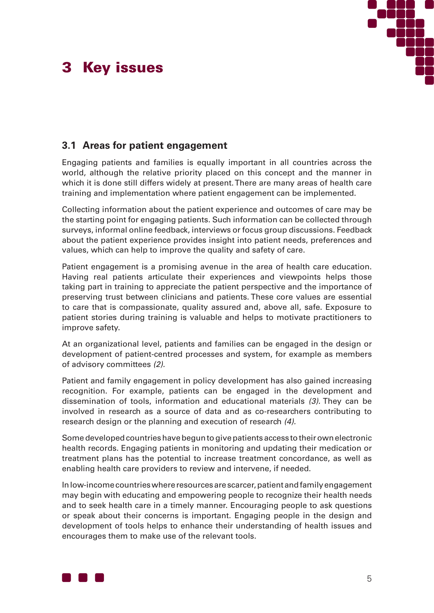# 3 Key issues



## **3.1 Areas for patient engagement**

Engaging patients and families is equally important in all countries across the world, although the relative priority placed on this concept and the manner in which it is done still differs widely at present. There are many areas of health care training and implementation where patient engagement can be implemented.

Collecting information about the patient experience and outcomes of care may be the starting point for engaging patients. Such information can be collected through surveys, informal online feedback, interviews or focus group discussions. Feedback about the patient experience provides insight into patient needs, preferences and values, which can help to improve the quality and safety of care.

Patient engagement is a promising avenue in the area of health care education. Having real patients articulate their experiences and viewpoints helps those taking part in training to appreciate the patient perspective and the importance of preserving trust between clinicians and patients. These core values are essential to care that is compassionate, quality assured and, above all, safe. Exposure to patient stories during training is valuable and helps to motivate practitioners to improve safety.

At an organizational level, patients and families can be engaged in the design or development of patient-centred processes and system, for example as members of advisory committees *(2).*

Patient and family engagement in policy development has also gained increasing recognition. For example, patients can be engaged in the development and dissemination of tools, information and educational materials *(3).* They can be involved in research as a source of data and as co-researchers contributing to research design or the planning and execution of research *(4).*

Some developed countries have begun to give patients access to their own electronic health records. Engaging patients in monitoring and updating their medication or treatment plans has the potential to increase treatment concordance, as well as enabling health care providers to review and intervene, if needed.

In low-income countries where resources are scarcer, patient and family engagement may begin with educating and empowering people to recognize their health needs and to seek health care in a timely manner. Encouraging people to ask questions or speak about their concerns is important. Engaging people in the design and development of tools helps to enhance their understanding of health issues and encourages them to make use of the relevant tools.

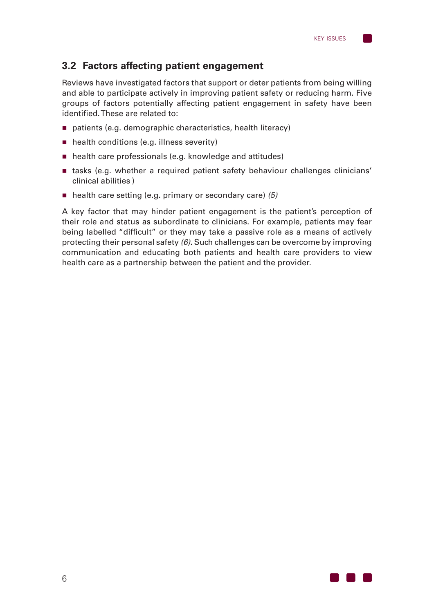### **3.2 Factors affecting patient engagement**

Reviews have investigated factors that support or deter patients from being willing and able to participate actively in improving patient safety or reducing harm. Five groups of factors potentially affecting patient engagement in safety have been identified. These are related to:

- $\blacksquare$  patients (e.g. demographic characteristics, health literacy)
- $\blacksquare$  health conditions (e.g. illness severity)
- $\blacksquare$  health care professionals (e.g. knowledge and attitudes)
- tasks (e.g. whether a required patient safety behaviour challenges clinicians' clinical abilities )
- health care setting (e.g. primary or secondary care) (5)

A key factor that may hinder patient engagement is the patient's perception of their role and status as subordinate to clinicians. For example, patients may fear being labelled "difficult" or they may take a passive role as a means of actively protecting their personal safety *(6)*. Such challenges can be overcome by improving communication and educating both patients and health care providers to view health care as a partnership between the patient and the provider.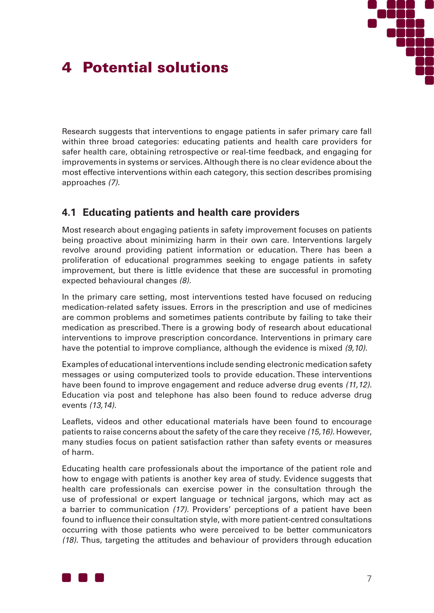

# 4 Potential solutions

Research suggests that interventions to engage patients in safer primary care fall within three broad categories: educating patients and health care providers for safer health care, obtaining retrospective or real-time feedback, and engaging for improvements in systems or services. Although there is no clear evidence about the most effective interventions within each category, this section describes promising approaches *(7).*

### **4.1 Educating patients and health care providers**

Most research about engaging patients in safety improvement focuses on patients being proactive about minimizing harm in their own care. Interventions largely revolve around providing patient information or education. There has been a proliferation of educational programmes seeking to engage patients in safety improvement, but there is little evidence that these are successful in promoting expected behavioural changes *(8).*

In the primary care setting, most interventions tested have focused on reducing medication-related safety issues. Errors in the prescription and use of medicines are common problems and sometimes patients contribute by failing to take their medication as prescribed. There is a growing body of research about educational interventions to improve prescription concordance. Interventions in primary care have the potential to improve compliance, although the evidence is mixed *(9,10).*

Examples of educational interventions include sending electronic medication safety messages or using computerized tools to provide education. These interventions have been found to improve engagement and reduce adverse drug events *(11,12).* Education via post and telephone has also been found to reduce adverse drug events *(13,14).*

Leaflets, videos and other educational materials have been found to encourage patients to raise concerns about the safety of the care they receive *(15,16).* However, many studies focus on patient satisfaction rather than safety events or measures of harm.

Educating health care professionals about the importance of the patient role and how to engage with patients is another key area of study. Evidence suggests that health care professionals can exercise power in the consultation through the use of professional or expert language or technical jargons, which may act as a barrier to communication *(17).* Providers' perceptions of a patient have been found to influence their consultation style, with more patient-centred consultations occurring with those patients who were perceived to be better communicators *(18).* Thus, targeting the attitudes and behaviour of providers through education

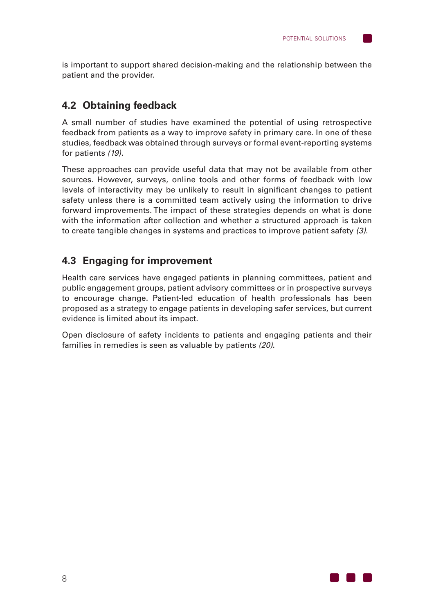is important to support shared decision-making and the relationship between the patient and the provider.

## **4.2 Obtaining feedback**

A small number of studies have examined the potential of using retrospective feedback from patients as a way to improve safety in primary care. In one of these studies, feedback was obtained through surveys or formal event-reporting systems for patients *(19).*

These approaches can provide useful data that may not be available from other sources. However, surveys, online tools and other forms of feedback with low levels of interactivity may be unlikely to result in significant changes to patient safety unless there is a committed team actively using the information to drive forward improvements. The impact of these strategies depends on what is done with the information after collection and whether a structured approach is taken to create tangible changes in systems and practices to improve patient safety *(3)*.

### **4.3 Engaging for improvement**

Health care services have engaged patients in planning committees, patient and public engagement groups, patient advisory committees or in prospective surveys to encourage change. Patient-led education of health professionals has been proposed as a strategy to engage patients in developing safer services, but current evidence is limited about its impact.

Open disclosure of safety incidents to patients and engaging patients and their families in remedies is seen as valuable by patients *(20)*.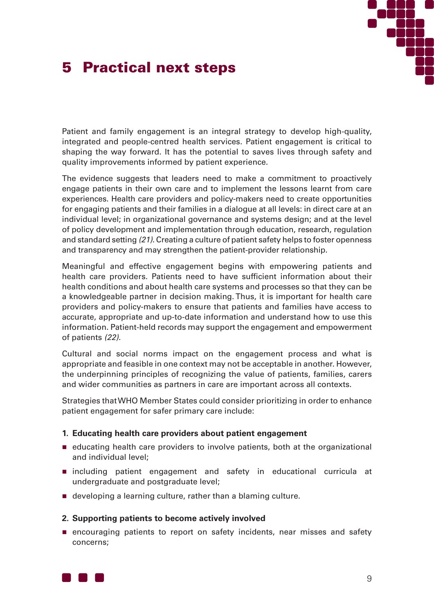

# 5 Practical next steps

Patient and family engagement is an integral strategy to develop high-quality, integrated and people-centred health services. Patient engagement is critical to shaping the way forward. It has the potential to saves lives through safety and quality improvements informed by patient experience.

The evidence suggests that leaders need to make a commitment to proactively engage patients in their own care and to implement the lessons learnt from care experiences. Health care providers and policy-makers need to create opportunities for engaging patients and their families in a dialogue at all levels: in direct care at an individual level; in organizational governance and systems design; and at the level of policy development and implementation through education, research, regulation and standard setting *(21).* Creating a culture of patient safety helps to foster openness and transparency and may strengthen the patient-provider relationship.

Meaningful and effective engagement begins with empowering patients and health care providers. Patients need to have sufficient information about their health conditions and about health care systems and processes so that they can be a knowledgeable partner in decision making. Thus, it is important for health care providers and policy-makers to ensure that patients and families have access to accurate, appropriate and up-to-date information and understand how to use this information. Patient-held records may support the engagement and empowerment of patients *(22).*

Cultural and social norms impact on the engagement process and what is appropriate and feasible in one context may not be acceptable in another. However, the underpinning principles of recognizing the value of patients, families, carers and wider communities as partners in care are important across all contexts.

Strategies that WHO Member States could consider prioritizing in order to enhance patient engagement for safer primary care include:

### **1. Educating health care providers about patient engagement**

- $\blacksquare$  educating health care providers to involve patients, both at the organizational and individual level;
- n including patient engagement and safety in educational curricula at undergraduate and postgraduate level;
- $\blacksquare$  developing a learning culture, rather than a blaming culture.

### **2. Supporting patients to become actively involved**

**n** encouraging patients to report on safety incidents, near misses and safety concerns;

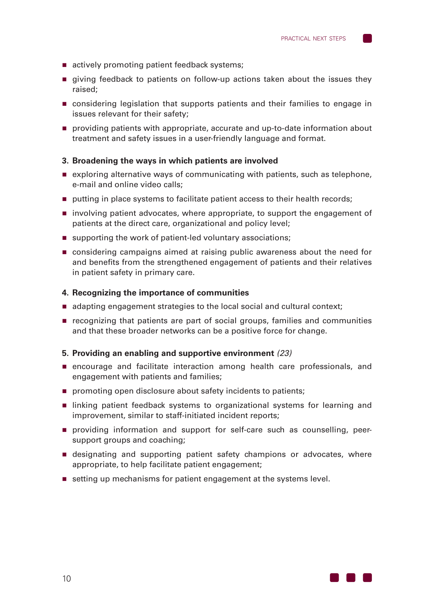- $\blacksquare$  actively promoting patient feedback systems;
- $\blacksquare$  giving feedback to patients on follow-up actions taken about the issues they raised;
- **n** considering legislation that supports patients and their families to engage in issues relevant for their safety;
- n providing patients with appropriate, accurate and up-to-date information about treatment and safety issues in a user-friendly language and format.

#### **3. Broadening the ways in which patients are involved**

- $\blacksquare$  exploring alternative ways of communicating with patients, such as telephone, e-mail and online video calls;
- n putting in place systems to facilitate patient access to their health records;
- **n** involving patient advocates, where appropriate, to support the engagement of patients at the direct care, organizational and policy level;
- supporting the work of patient-led voluntary associations;
- n considering campaigns aimed at raising public awareness about the need for and benefits from the strengthened engagement of patients and their relatives in patient safety in primary care.

#### **4. Recognizing the importance of communities**

- adapting engagement strategies to the local social and cultural context;
- $\blacksquare$  recognizing that patients are part of social groups, families and communities and that these broader networks can be a positive force for change.

#### **5. Providing an enabling and supportive environment** *(23)*

- **n** encourage and facilitate interaction among health care professionals, and engagement with patients and families;
- **n** promoting open disclosure about safety incidents to patients;
- **n** linking patient feedback systems to organizational systems for learning and improvement, similar to staff-initiated incident reports;
- n providing information and support for self-care such as counselling, peersupport groups and coaching;
- **n** designating and supporting patient safety champions or advocates, where appropriate, to help facilitate patient engagement;
- setting up mechanisms for patient engagement at the systems level.

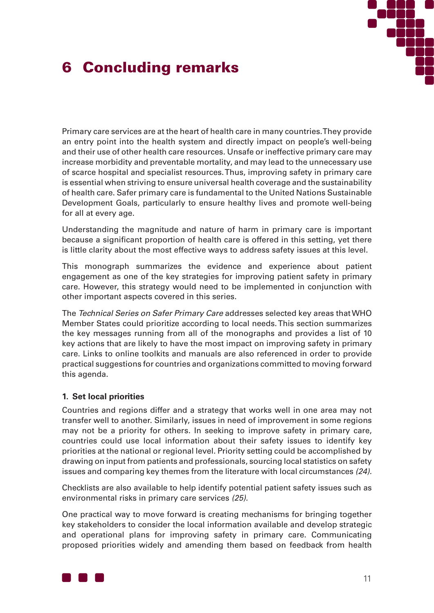

# 6 Concluding remarks

Primary care services are at the heart of health care in many countries. They provide an entry point into the health system and directly impact on people's well-being and their use of other health care resources. Unsafe or ineffective primary care may increase morbidity and preventable mortality, and may lead to the unnecessary use of scarce hospital and specialist resources. Thus, improving safety in primary care is essential when striving to ensure universal health coverage and the sustainability of health care. Safer primary care is fundamental to the United Nations Sustainable Development Goals, particularly to ensure healthy lives and promote well-being for all at every age.

Understanding the magnitude and nature of harm in primary care is important because a significant proportion of health care is offered in this setting, yet there is little clarity about the most effective ways to address safety issues at this level.

This monograph summarizes the evidence and experience about patient engagement as one of the key strategies for improving patient safety in primary care. However, this strategy would need to be implemented in conjunction with other important aspects covered in this series.

The *Technical Series on Safer Primary Care* addresses selected key areas that WHO Member States could prioritize according to local needs. This section summarizes the key messages running from all of the monographs and provides a list of 10 key actions that are likely to have the most impact on improving safety in primary care. Links to online toolkits and manuals are also referenced in order to provide practical suggestions for countries and organizations committed to moving forward this agenda.

### **1. Set local priorities**

Countries and regions differ and a strategy that works well in one area may not transfer well to another. Similarly, issues in need of improvement in some regions may not be a priority for others. In seeking to improve safety in primary care, countries could use local information about their safety issues to identify key priorities at the national or regional level. Priority setting could be accomplished by drawing on input from patients and professionals, sourcing local statistics on safety issues and comparing key themes from the literature with local circumstances *(24).*

Checklists are also available to help identify potential patient safety issues such as environmental risks in primary care services *(25).*

One practical way to move forward is creating mechanisms for bringing together key stakeholders to consider the local information available and develop strategic and operational plans for improving safety in primary care. Communicating proposed priorities widely and amending them based on feedback from health

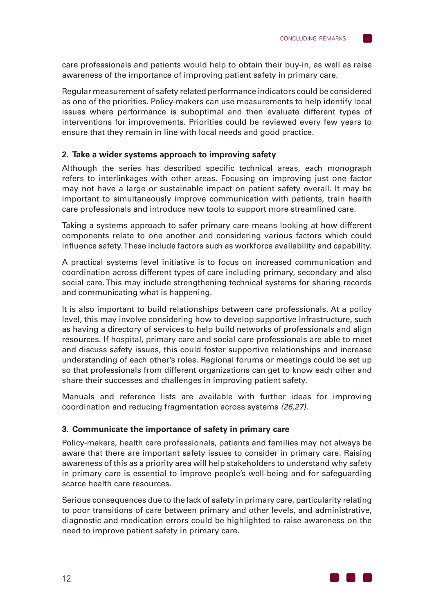care professionals and patients would help to obtain their buy-in, as well as raise awareness of the importance of improving patient safety in primary care.

Regular measurement of safety related performance indicators could be considered as one of the priorities. Policy-makers can use measurements to help identify local issues where performance is suboptimal and then evaluate different types of interventions for improvements. Priorities could be reviewed every few years to ensure that they remain in line with local needs and good practice.

### **2. Take a wider systems approach to improving safety**

Although the series has described specific technical areas, each monograph refers to interlinkages with other areas. Focusing on improving just one factor may not have a large or sustainable impact on patient safety overall. It may be important to simultaneously improve communication with patients, train health care professionals and introduce new tools to support more streamlined care.

Taking a systems approach to safer primary care means looking at how different components relate to one another and considering various factors which could influence safety. These include factors such as workforce availability and capability.

A practical systems level initiative is to focus on increased communication and coordination across different types of care including primary, secondary and also social care. This may include strengthening technical systems for sharing records and communicating what is happening.

It is also important to build relationships between care professionals. At a policy level, this may involve considering how to develop supportive infrastructure, such as having a directory of services to help build networks of professionals and align resources. If hospital, primary care and social care professionals are able to meet and discuss safety issues, this could foster supportive relationships and increase understanding of each other's roles. Regional forums or meetings could be set up so that professionals from different organizations can get to know each other and share their successes and challenges in improving patient safety.

Manuals and reference lists are available with further ideas for improving coordination and reducing fragmentation across systems *(26,27)*.

### **3. Communicate the importance of safety in primary care**

Policy-makers, health care professionals, patients and families may not always be aware that there are important safety issues to consider in primary care. Raising awareness of this as a priority area will help stakeholders to understand why safety in primary care is essential to improve people's well-being and for safeguarding scarce health care resources.

Serious consequences due to the lack of safety in primary care, particularity relating to poor transitions of care between primary and other levels, and administrative, diagnostic and medication errors could be highlighted to raise awareness on the need to improve patient safety in primary care.

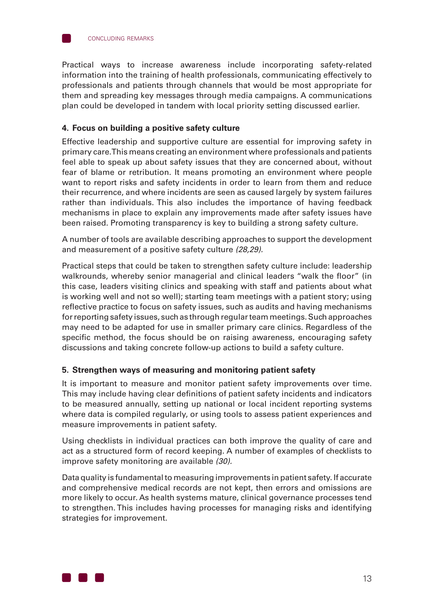



Practical ways to increase awareness include incorporating safety-related information into the training of health professionals, communicating effectively to professionals and patients through channels that would be most appropriate for them and spreading key messages through media campaigns. A communications plan could be developed in tandem with local priority setting discussed earlier.

### **4. Focus on building a positive safety culture**

Effective leadership and supportive culture are essential for improving safety in primary care. This means creating an environment where professionals and patients feel able to speak up about safety issues that they are concerned about, without fear of blame or retribution. It means promoting an environment where people want to report risks and safety incidents in order to learn from them and reduce their recurrence, and where incidents are seen as caused largely by system failures rather than individuals. This also includes the importance of having feedback mechanisms in place to explain any improvements made after safety issues have been raised. Promoting transparency is key to building a strong safety culture.

A number of tools are available describing approaches to support the development and measurement of a positive safety culture *(28,29).*

Practical steps that could be taken to strengthen safety culture include: leadership walkrounds, whereby senior managerial and clinical leaders "walk the floor" (in this case, leaders visiting clinics and speaking with staff and patients about what is working well and not so well); starting team meetings with a patient story; using reflective practice to focus on safety issues, such as audits and having mechanisms for reporting safety issues, such as through regular team meetings. Such approaches may need to be adapted for use in smaller primary care clinics. Regardless of the specific method, the focus should be on raising awareness, encouraging safety discussions and taking concrete follow-up actions to build a safety culture.

### **5. Strengthen ways of measuring and monitoring patient safety**

It is important to measure and monitor patient safety improvements over time. This may include having clear definitions of patient safety incidents and indicators to be measured annually, setting up national or local incident reporting systems where data is compiled regularly, or using tools to assess patient experiences and measure improvements in patient safety.

Using checklists in individual practices can both improve the quality of care and act as a structured form of record keeping. A number of examples of checklists to improve safety monitoring are available *(30).*

Data quality is fundamental to measuring improvements in patient safety. If accurate and comprehensive medical records are not kept, then errors and omissions are more likely to occur. As health systems mature, clinical governance processes tend to strengthen. This includes having processes for managing risks and identifying strategies for improvement.

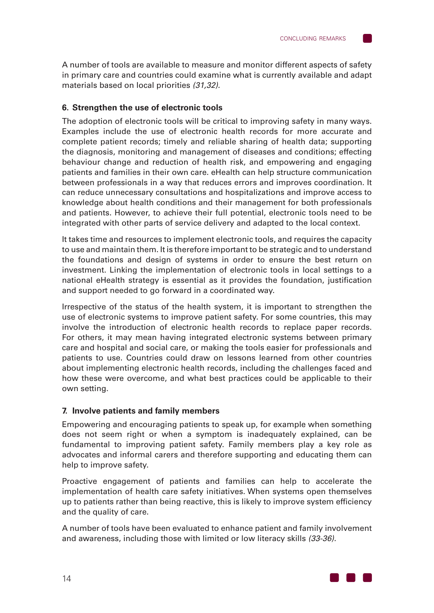

### **6. Strengthen the use of electronic tools**

The adoption of electronic tools will be critical to improving safety in many ways. Examples include the use of electronic health records for more accurate and complete patient records; timely and reliable sharing of health data; supporting the diagnosis, monitoring and management of diseases and conditions; effecting behaviour change and reduction of health risk, and empowering and engaging patients and families in their own care. eHealth can help structure communication between professionals in a way that reduces errors and improves coordination. It can reduce unnecessary consultations and hospitalizations and improve access to knowledge about health conditions and their management for both professionals and patients. However, to achieve their full potential, electronic tools need to be integrated with other parts of service delivery and adapted to the local context.

It takes time and resources to implement electronic tools, and requires the capacity to use and maintain them. It is therefore important to be strategic and to understand the foundations and design of systems in order to ensure the best return on investment. Linking the implementation of electronic tools in local settings to a national eHealth strategy is essential as it provides the foundation, justification and support needed to go forward in a coordinated way.

Irrespective of the status of the health system, it is important to strengthen the use of electronic systems to improve patient safety. For some countries, this may involve the introduction of electronic health records to replace paper records. For others, it may mean having integrated electronic systems between primary care and hospital and social care, or making the tools easier for professionals and patients to use. Countries could draw on lessons learned from other countries about implementing electronic health records, including the challenges faced and how these were overcome, and what best practices could be applicable to their own setting.

#### **7. Involve patients and family members**

Empowering and encouraging patients to speak up, for example when something does not seem right or when a symptom is inadequately explained, can be fundamental to improving patient safety. Family members play a key role as advocates and informal carers and therefore supporting and educating them can help to improve safety.

Proactive engagement of patients and families can help to accelerate the implementation of health care safety initiatives. When systems open themselves up to patients rather than being reactive, this is likely to improve system efficiency and the quality of care.

A number of tools have been evaluated to enhance patient and family involvement and awareness, including those with limited or low literacy skills *(33-36).*

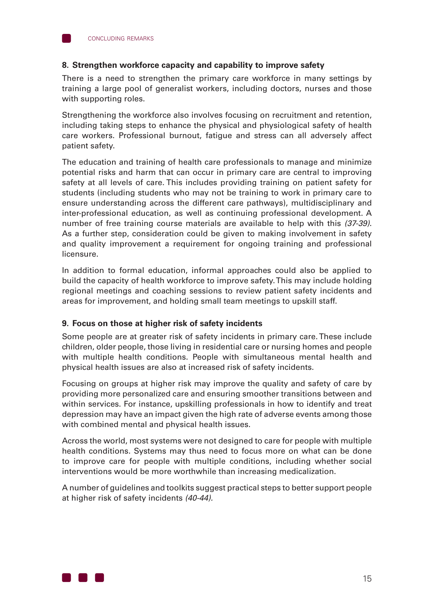

#### **8. Strengthen workforce capacity and capability to improve safety**

There is a need to strengthen the primary care workforce in many settings by training a large pool of generalist workers, including doctors, nurses and those with supporting roles.

Strengthening the workforce also involves focusing on recruitment and retention, including taking steps to enhance the physical and physiological safety of health care workers. Professional burnout, fatigue and stress can all adversely affect patient safety.

The education and training of health care professionals to manage and minimize potential risks and harm that can occur in primary care are central to improving safety at all levels of care. This includes providing training on patient safety for students (including students who may not be training to work in primary care to ensure understanding across the different care pathways), multidisciplinary and inter-professional education, as well as continuing professional development. A number of free training course materials are available to help with this *(37-39)*. As a further step, consideration could be given to making involvement in safety and quality improvement a requirement for ongoing training and professional licensure.

In addition to formal education, informal approaches could also be applied to build the capacity of health workforce to improve safety. This may include holding regional meetings and coaching sessions to review patient safety incidents and areas for improvement, and holding small team meetings to upskill staff.

#### **9. Focus on those at higher risk of safety incidents**

Some people are at greater risk of safety incidents in primary care. These include children, older people, those living in residential care or nursing homes and people with multiple health conditions. People with simultaneous mental health and physical health issues are also at increased risk of safety incidents.

Focusing on groups at higher risk may improve the quality and safety of care by providing more personalized care and ensuring smoother transitions between and within services. For instance, upskilling professionals in how to identify and treat depression may have an impact given the high rate of adverse events among those with combined mental and physical health issues.

Across the world, most systems were not designed to care for people with multiple health conditions. Systems may thus need to focus more on what can be done to improve care for people with multiple conditions, including whether social interventions would be more worthwhile than increasing medicalization.

A number of guidelines and toolkits suggest practical steps to better support people at higher risk of safety incidents *(40-44).*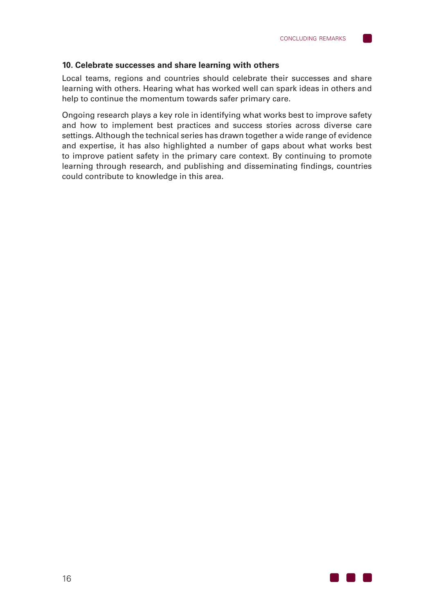#### **10. Celebrate successes and share learning with others**

Local teams, regions and countries should celebrate their successes and share learning with others. Hearing what has worked well can spark ideas in others and help to continue the momentum towards safer primary care.

Ongoing research plays a key role in identifying what works best to improve safety and how to implement best practices and success stories across diverse care settings. Although the technical series has drawn together a wide range of evidence and expertise, it has also highlighted a number of gaps about what works best to improve patient safety in the primary care context. By continuing to promote learning through research, and publishing and disseminating findings, countries could contribute to knowledge in this area.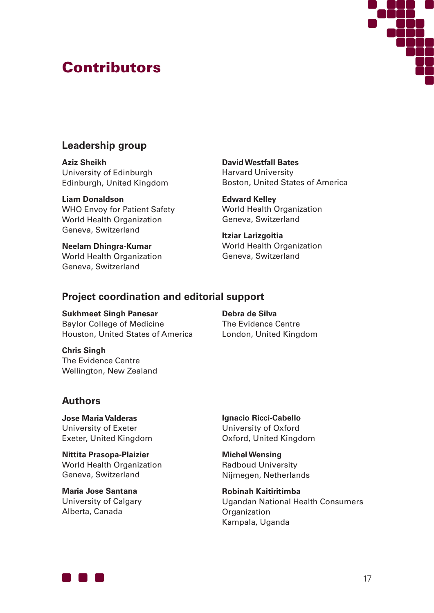# **Contributors**



# **Leadership group**

**Aziz Sheikh** University of Edinburgh Edinburgh, United Kingdom

**Liam Donaldson** WHO Envoy for Patient Safety World Health Organization Geneva, Switzerland

**Neelam Dhingra-Kumar** World Health Organization Geneva, Switzerland

**David Westfall Bates** Harvard University Boston, United States of America

**Edward Kelley** World Health Organization Geneva, Switzerland

**Itziar Larizgoitia** World Health Organization Geneva, Switzerland

### **Project coordination and editorial support**

**Sukhmeet Singh Panesar** Baylor College of Medicine Houston, United States of America

**Debra de Silva** The Evidence Centre London, United Kingdom

**Chris Singh** The Evidence Centre Wellington, New Zealand

### **Authors**

**Jose Maria Valderas** University of Exeter Exeter, United Kingdom

**Nittita Prasopa-Plaizier**  World Health Organization Geneva, Switzerland

**Maria Jose Santana** University of Calgary Alberta, Canada

**Ignacio Ricci-Cabello** University of Oxford Oxford, United Kingdom

**Michel Wensing** Radboud University Nijmegen, Netherlands

**Robinah Kaitiritimba** Ugandan National Health Consumers **Organization** Kampala, Uganda

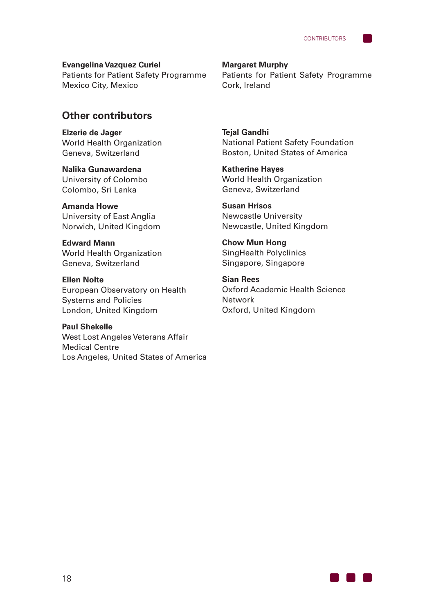#### **Evangelina Vazquez Curiel**

Patients for Patient Safety Programme Mexico City, Mexico

**Margaret Murphy** Patients for Patient Safety Programme Cork, Ireland

### **Other contributors**

**Elzerie de Jager** World Health Organization Geneva, Switzerland

**Nalika Gunawardena** University of Colombo Colombo, Sri Lanka

**Amanda Howe** University of East Anglia Norwich, United Kingdom

**Edward Mann** World Health Organization Geneva, Switzerland

**Ellen Nolte** European Observatory on Health Systems and Policies London, United Kingdom

**Paul Shekelle** West Lost Angeles Veterans Affair Medical Centre Los Angeles, United States of America **Tejal Gandhi** National Patient Safety Foundation Boston, United States of America

**Katherine Hayes** World Health Organization Geneva, Switzerland

**Susan Hrisos** Newcastle University Newcastle, United Kingdom

**Chow Mun Hong** SingHealth Polyclinics Singapore, Singapore

**Sian Rees** Oxford Academic Health Science **Network** Oxford, United Kingdom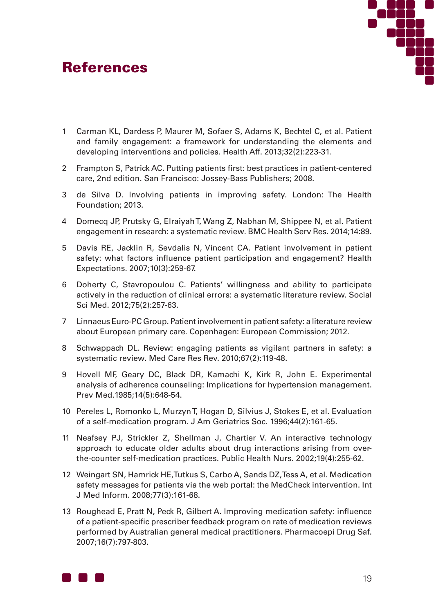# References



- 1 Carman KL, Dardess P, Maurer M, Sofaer S, Adams K, Bechtel C, et al. Patient and family engagement: a framework for understanding the elements and developing interventions and policies. Health Aff. 2013;32(2):223-31.
- 2 Frampton S, Patrick AC. Putting patients first: best practices in patient-centered care, 2nd edition. San Francisco: Jossey-Bass Publishers; 2008.
- 3 de Silva D. Involving patients in improving safety. London: The Health Foundation; 2013.
- 4 Domecq JP, Prutsky G, Elraiyah T, Wang Z, Nabhan M, Shippee N, et al. Patient engagement in research: a systematic review. BMC Health Serv Res. 2014;14:89.
- 5 Davis RE, Jacklin R, Sevdalis N, Vincent CA. Patient involvement in patient safety: what factors influence patient participation and engagement? Health Expectations. 2007;10(3):259-67.
- 6 Doherty C, Stavropoulou C. Patients' willingness and ability to participate actively in the reduction of clinical errors: a systematic literature review. Social Sci Med. 2012;75(2):257-63.
- 7 Linnaeus Euro-PC Group. Patient involvement in patient safety: a literature review about European primary care. Copenhagen: European Commission; 2012.
- 8 Schwappach DL. Review: engaging patients as vigilant partners in safety: a systematic review. Med Care Res Rev. 2010;67(2):119-48.
- 9 Hovell MF, Geary DC, Black DR, Kamachi K, Kirk R, John E. Experimental analysis of adherence counseling: Implications for hypertension management. Prev Med.1985;14(5):648-54.
- 10 Pereles L, Romonko L, Murzyn T, Hogan D, Silvius J, Stokes E, et al. Evaluation of a self-medication program. J Am Geriatrics Soc. 1996;44(2):161-65.
- 11 Neafsey PJ, Strickler Z, Shellman J, Chartier V. An interactive technology approach to educate older adults about drug interactions arising from overthe-counter self-medication practices. Public Health Nurs. 2002;19(4):255-62.
- 12 Weingart SN, Hamrick HE,Tutkus S, Carbo A, Sands DZ,Tess A, et al. Medication safety messages for patients via the web portal: the MedCheck intervention. Int J Med Inform. 2008;77(3):161-68.
- 13 Roughead E, Pratt N, Peck R, Gilbert A. Improving medication safety: influence of a patient-specific prescriber feedback program on rate of medication reviews performed by Australian general medical practitioners. Pharmacoepi Drug Saf. 2007;16(7):797-803.

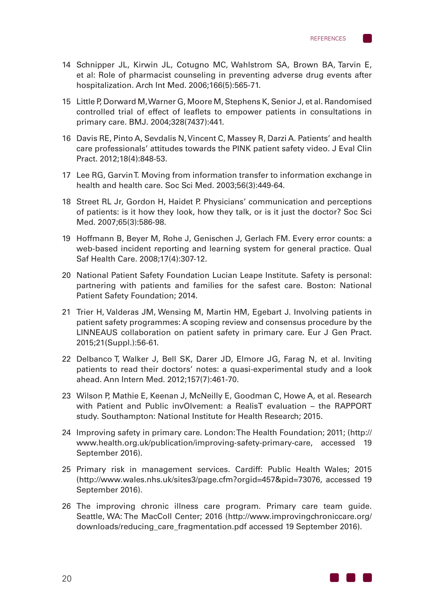

- 14 Schnipper JL, Kirwin JL, Cotugno MC, Wahlstrom SA, Brown BA, Tarvin E, et al: Role of pharmacist counseling in preventing adverse drug events after hospitalization. Arch Int Med. 2006;166(5):565-71.
- 15 Little P, Dorward M, Warner G, Moore M, Stephens K, Senior J, et al. Randomised controlled trial of effect of leaflets to empower patients in consultations in primary care. BMJ. 2004;328(7437):441.
- 16 Davis RE, Pinto A, Sevdalis N, Vincent C, Massey R, Darzi A. Patients' and health care professionals' attitudes towards the PINK patient safety video. J Eval Clin Pract. 2012;18(4):848-53.
- 17 Lee RG, Garvin T. Moving from information transfer to information exchange in health and health care. Soc Sci Med. 2003;56(3):449-64.
- 18 Street RL Jr, Gordon H, Haidet P. Physicians' communication and perceptions of patients: is it how they look, how they talk, or is it just the doctor? Soc Sci Med. 2007;65(3):586-98.
- 19 Hoffmann B, Beyer M, Rohe J, Genischen J, Gerlach FM. Every error counts: a web-based incident reporting and learning system for general practice. Qual Saf Health Care. 2008;17(4):307-12.
- 20 National Patient Safety Foundation Lucian Leape Institute. Safety is personal: partnering with patients and families for the safest care. Boston: National Patient Safety Foundation; 2014.
- 21 Trier H, Valderas JM, Wensing M, Martin HM, Egebart J. Involving patients in patient safety programmes: A scoping review and consensus procedure by the LINNEAUS collaboration on patient safety in primary care. Eur J Gen Pract. 2015;21(Suppl.):56-61.
- 22 Delbanco T, Walker J, Bell SK, Darer JD, Elmore JG, Farag N, et al. Inviting patients to read their doctors' notes: a quasi-experimental study and a look ahead. Ann Intern Med. 2012;157(7):461-70.
- 23 Wilson P, Mathie E, Keenan J, McNeilly E, Goodman C, Howe A, et al. Research with Patient and Public invOlvement: a RealisT evaluation – the RAPPORT study. Southampton: National Institute for Health Research; 2015.
- 24 Improving safety in primary care. London: The Health Foundation; 2011; (http:// www.health.org.uk/publication/improving-safety-primary-care, accessed 19 September 2016).
- 25 Primary risk in management services. Cardiff: Public Health Wales; 2015 (http://www.wales.nhs.uk/sites3/page.cfm?orgid=457&pid=73076, accessed 19 September 2016).
- 26 The improving chronic illness care program. Primary care team guide. Seattle, WA: The MacColl Center; 2016 (http://www.improvingchroniccare.org/ downloads/reducing\_care\_fragmentation.pdf accessed 19 September 2016).

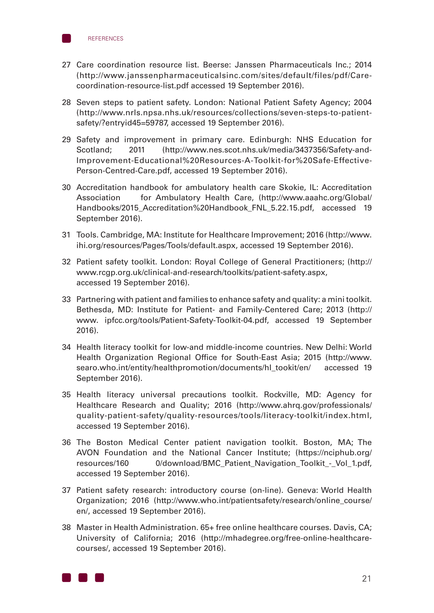

- 27 Care coordination resource list. Beerse: Janssen Pharmaceuticals Inc.; 2014 (http://www.janssenpharmaceuticalsinc.com/sites/default/files/pdf/Carecoordination-resource-list.pdf accessed 19 September 2016).
- 28 Seven steps to patient safety. London: National Patient Safety Agency; 2004 (http://www.nrls.npsa.nhs.uk/resources/collections/seven-steps-to-patientsafety/?entryid45=59787, accessed 19 September 2016).
- 29 Safety and improvement in primary care. Edinburgh: NHS Education for Scotland; 2011 (http://www.nes.scot.nhs.uk/media/3437356/Safety-and-Improvement-Educational%20Resources-A-Toolkit-for%20Safe-Effective-Person-Centred-Care.pdf, accessed 19 September 2016).
- 30 Accreditation handbook for ambulatory health care Skokie, IL: Accreditation Association for Ambulatory Health Care, (http://www.aaahc.org/Global/ Handbooks/2015\_Accreditation%20Handbook\_FNL\_5.22.15.pdf, accessed 19 September 2016).
- 31 Tools. Cambridge, MA: Institute for Healthcare Improvement; 2016 (http://www. ihi.org/resources/Pages/Tools/default.aspx, accessed 19 September 2016).
- 32 Patient safety toolkit. London: Royal College of General Practitioners; (http:// www.rcgp.org.uk/clinical-and-research/toolkits/patient-safety.aspx, accessed 19 September 2016).
- 33 Partnering with patient and families to enhance safety and quality: a mini toolkit. Bethesda, MD: Institute for Patient- and Family-Centered Care; 2013 (http:// www. ipfcc.org/tools/Patient-Safety-Toolkit-04.pdf, accessed 19 September 2016).
- 34 Health literacy toolkit for low-and middle-income countries. New Delhi: World Health Organization Regional Office for South-East Asia; 2015 (http://www. searo.who.int/entity/healthpromotion/documents/hl\_tookit/en/ accessed 19 September 2016).
- 35 Health literacy universal precautions toolkit. Rockville, MD: Agency for Healthcare Research and Quality; 2016 (http://www.ahrq.gov/professionals/ quality-patient-safety/quality-resources/tools/literacy-toolkit/index.html, accessed 19 September 2016).
- 36 The Boston Medical Center patient navigation toolkit. Boston, MA; The AVON Foundation and the National Cancer Institute; (https://nciphub.org/ resources/160 0/download/BMC\_Patient\_Navigation\_Toolkit\_-\_Vol\_1.pdf, accessed 19 September 2016).
- 37 Patient safety research: introductory course (on-line). Geneva: World Health Organization; 2016 (http://www.who.int/patientsafety/research/online\_course/ en/, accessed 19 September 2016).
- 38 Master in Health Administration. 65+ free online healthcare courses. Davis, CA; University of California; 2016 (http://mhadegree.org/free-online-healthcarecourses/, accessed 19 September 2016).

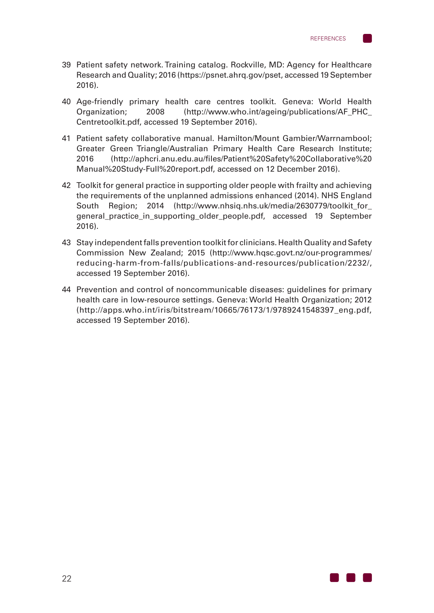

- 39 Patient safety network. Training catalog. Rockville, MD: Agency for Healthcare Research and Quality; 2016 (https://psnet.ahrq.gov/pset, accessed 19 September 2016).
- 40 Age-friendly primary health care centres toolkit. Geneva: World Health Organization; 2008 (http://www.who.int/ageing/publications/AF\_PHC\_ Centretoolkit.pdf, accessed 19 September 2016).
- 41 Patient safety collaborative manual. Hamilton/Mount Gambier/Warrnambool; Greater Green Triangle/Australian Primary Health Care Research Institute; 2016 (http://aphcri.anu.edu.au/files/Patient%20Safety%20Collaborative%20 Manual%20Study-Full%20report.pdf, accessed on 12 December 2016).
- 42 Toolkit for general practice in supporting older people with frailty and achieving the requirements of the unplanned admissions enhanced (2014). NHS England South Region; 2014 (http://www.nhsiq.nhs.uk/media/2630779/toolkit\_for general practice in supporting older people.pdf, accessed 19 September 2016).
- 43 Stay independent falls prevention toolkit for clinicians. Health Quality and Safety Commission New Zealand; 2015 (http://www.hqsc.govt.nz/our-programmes/ reducing-harm-from-falls/publications-and-resources/publication/2232/, accessed 19 September 2016).
- 44 Prevention and control of noncommunicable diseases: guidelines for primary health care in low-resource settings. Geneva: World Health Organization; 2012 (http://apps.who.int/iris/bitstream/10665/76173/1/9789241548397\_eng.pdf, accessed 19 September 2016).